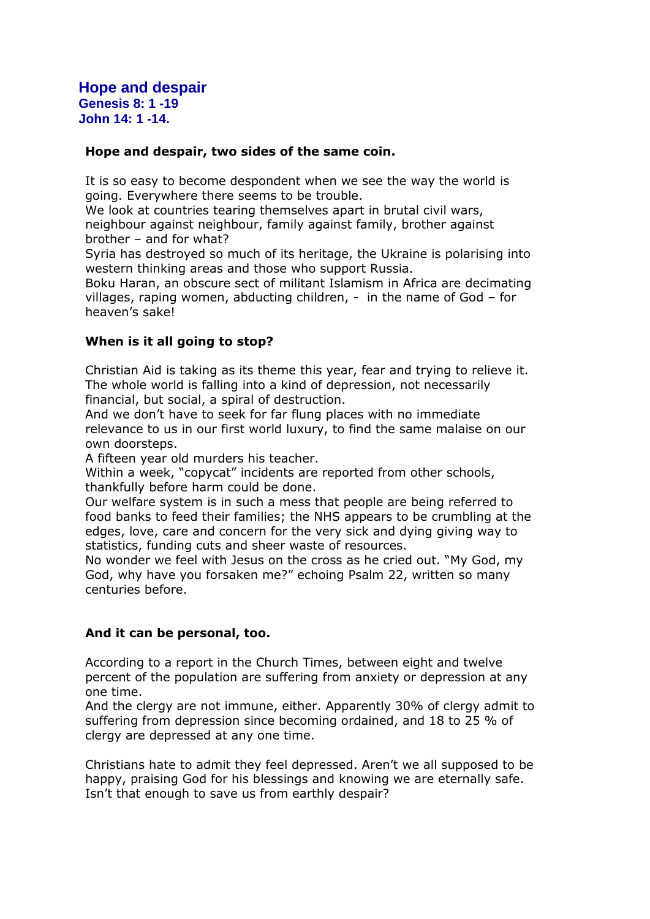**Hope and despair Genesis 8: 1 -19 John 14: 1 -14.** 

# **Hope and despair, two sides of the same coin.**

It is so easy to become despondent when we see the way the world is going. Everywhere there seems to be trouble.

We look at countries tearing themselves apart in brutal civil wars, neighbour against neighbour, family against family, brother against brother – and for what?

Syria has destroyed so much of its heritage, the Ukraine is polarising into western thinking areas and those who support Russia.

Boku Haran, an obscure sect of militant Islamism in Africa are decimating villages, raping women, abducting children, - in the name of God – for heaven's sake!

## **When is it all going to stop?**

Christian Aid is taking as its theme this year, fear and trying to relieve it. The whole world is falling into a kind of depression, not necessarily financial, but social, a spiral of destruction.

And we don't have to seek for far flung places with no immediate relevance to us in our first world luxury, to find the same malaise on our own doorsteps.

A fifteen year old murders his teacher.

Within a week, "copycat" incidents are reported from other schools, thankfully before harm could be done.

Our welfare system is in such a mess that people are being referred to food banks to feed their families; the NHS appears to be crumbling at the edges, love, care and concern for the very sick and dying giving way to statistics, funding cuts and sheer waste of resources.

No wonder we feel with Jesus on the cross as he cried out. "My God, my God, why have you forsaken me?" echoing Psalm 22, written so many centuries before.

#### **And it can be personal, too.**

According to a report in the Church Times, between eight and twelve percent of the population are suffering from anxiety or depression at any one time.

And the clergy are not immune, either. Apparently 30% of clergy admit to suffering from depression since becoming ordained, and 18 to 25 % of clergy are depressed at any one time.

Christians hate to admit they feel depressed. Aren't we all supposed to be happy, praising God for his blessings and knowing we are eternally safe. Isn't that enough to save us from earthly despair?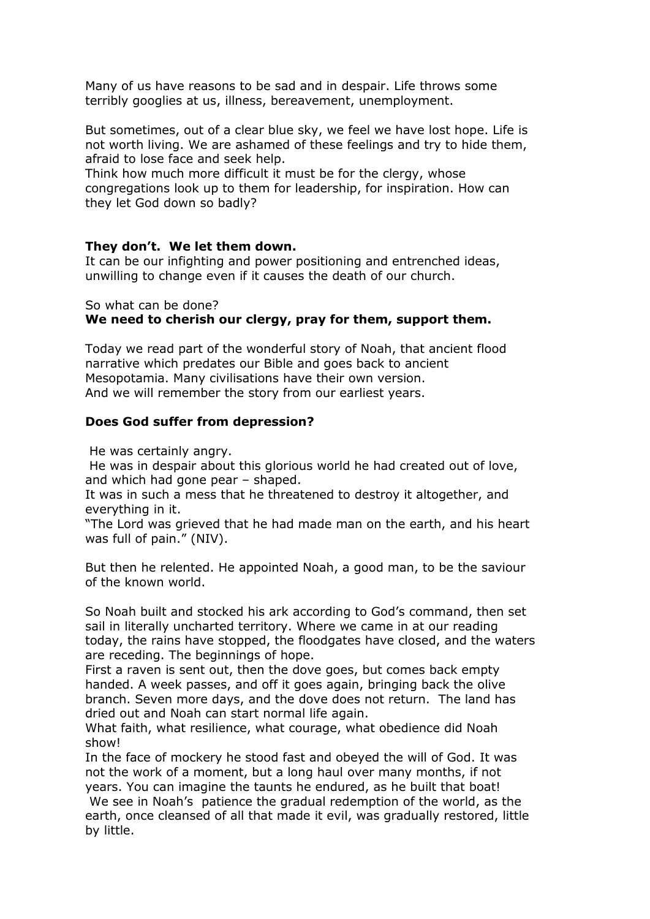Many of us have reasons to be sad and in despair. Life throws some terribly googlies at us, illness, bereavement, unemployment.

But sometimes, out of a clear blue sky, we feel we have lost hope. Life is not worth living. We are ashamed of these feelings and try to hide them, afraid to lose face and seek help.

Think how much more difficult it must be for the clergy, whose congregations look up to them for leadership, for inspiration. How can they let God down so badly?

## **They don't. We let them down.**

It can be our infighting and power positioning and entrenched ideas, unwilling to change even if it causes the death of our church.

So what can be done?

# **We need to cherish our clergy, pray for them, support them.**

Today we read part of the wonderful story of Noah, that ancient flood narrative which predates our Bible and goes back to ancient Mesopotamia. Many civilisations have their own version. And we will remember the story from our earliest years.

## **Does God suffer from depression?**

He was certainly angry.

by little.

He was in despair about this glorious world he had created out of love, and which had gone pear – shaped.

It was in such a mess that he threatened to destroy it altogether, and everything in it.

"The Lord was grieved that he had made man on the earth, and his heart was full of pain." (NIV).

But then he relented. He appointed Noah, a good man, to be the saviour of the known world.

So Noah built and stocked his ark according to God's command, then set sail in literally uncharted territory. Where we came in at our reading today, the rains have stopped, the floodgates have closed, and the waters are receding. The beginnings of hope.

First a raven is sent out, then the dove goes, but comes back empty handed. A week passes, and off it goes again, bringing back the olive branch. Seven more days, and the dove does not return. The land has dried out and Noah can start normal life again.

What faith, what resilience, what courage, what obedience did Noah show!

In the face of mockery he stood fast and obeyed the will of God. It was not the work of a moment, but a long haul over many months, if not years. You can imagine the taunts he endured, as he built that boat! We see in Noah's patience the gradual redemption of the world, as the earth, once cleansed of all that made it evil, was gradually restored, little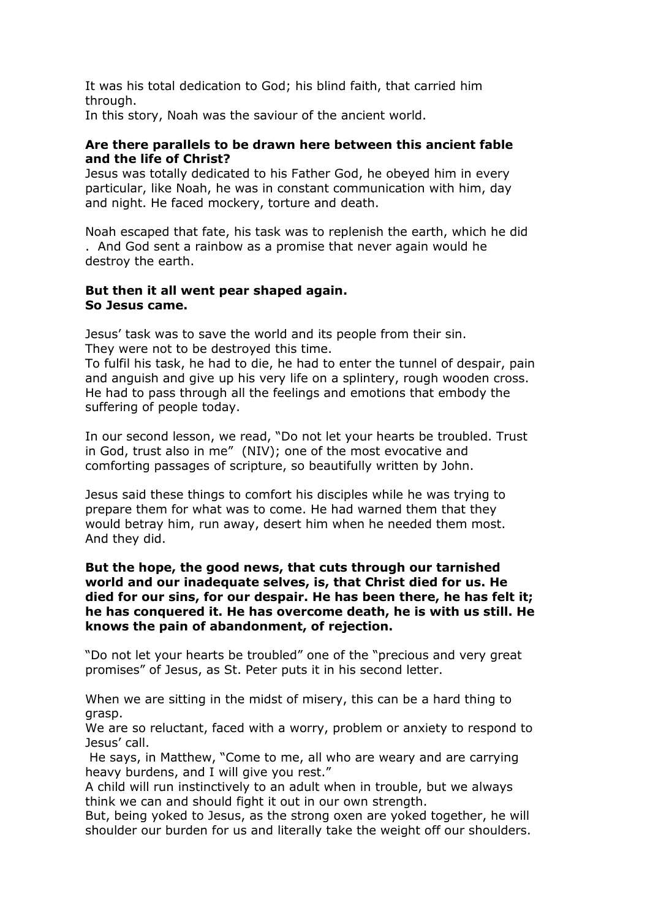It was his total dedication to God; his blind faith, that carried him through.

In this story, Noah was the saviour of the ancient world.

### **Are there parallels to be drawn here between this ancient fable and the life of Christ?**

Jesus was totally dedicated to his Father God, he obeyed him in every particular, like Noah, he was in constant communication with him, day and night. He faced mockery, torture and death.

Noah escaped that fate, his task was to replenish the earth, which he did . And God sent a rainbow as a promise that never again would he destroy the earth.

#### **But then it all went pear shaped again. So Jesus came.**

Jesus' task was to save the world and its people from their sin. They were not to be destroyed this time.

To fulfil his task, he had to die, he had to enter the tunnel of despair, pain and anguish and give up his very life on a splintery, rough wooden cross. He had to pass through all the feelings and emotions that embody the suffering of people today.

In our second lesson, we read, "Do not let your hearts be troubled. Trust in God, trust also in me" (NIV); one of the most evocative and comforting passages of scripture, so beautifully written by John.

Jesus said these things to comfort his disciples while he was trying to prepare them for what was to come. He had warned them that they would betray him, run away, desert him when he needed them most. And they did.

### **But the hope, the good news, that cuts through our tarnished world and our inadequate selves, is, that Christ died for us. He died for our sins, for our despair. He has been there, he has felt it; he has conquered it. He has overcome death, he is with us still. He knows the pain of abandonment, of rejection.**

"Do not let your hearts be troubled" one of the "precious and very great promises" of Jesus, as St. Peter puts it in his second letter.

When we are sitting in the midst of misery, this can be a hard thing to grasp.

We are so reluctant, faced with a worry, problem or anxiety to respond to Jesus' call.

He says, in Matthew, "Come to me, all who are weary and are carrying heavy burdens, and I will give you rest."

A child will run instinctively to an adult when in trouble, but we always think we can and should fight it out in our own strength.

But, being yoked to Jesus, as the strong oxen are yoked together, he will shoulder our burden for us and literally take the weight off our shoulders.